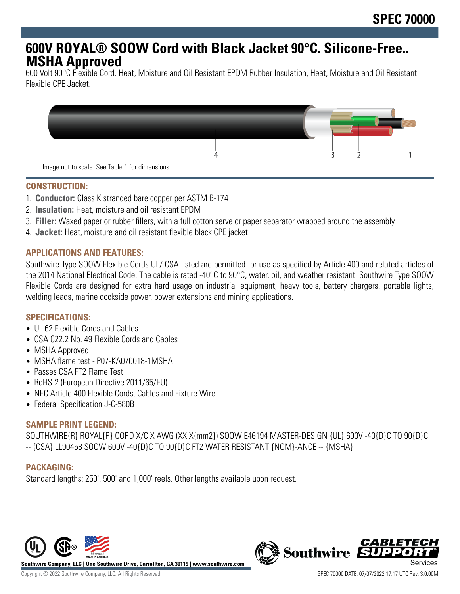# **600V ROYAL® SOOW Cord with Black Jacket 90°C. Silicone-Free.. MSHA Approved**

600 Volt 90°C Flexible Cord. Heat, Moisture and Oil Resistant EPDM Rubber Insulation, Heat, Moisture and Oil Resistant Flexible CPE Jacket.



#### **CONSTRUCTION:**

- 1. **Conductor:** Class K stranded bare copper per ASTM B-174
- 2. **Insulation:** Heat, moisture and oil resistant EPDM
- 3. **Filler:** Waxed paper or rubber fillers, with a full cotton serve or paper separator wrapped around the assembly
- 4. **Jacket:** Heat, moisture and oil resistant flexible black CPE jacket

#### **APPLICATIONS AND FEATURES:**

Southwire Type SOOW Flexible Cords UL/ CSA listed are permitted for use as specified by Article 400 and related articles of the 2014 National Electrical Code. The cable is rated -40°C to 90°C, water, oil, and weather resistant. Southwire Type SOOW Flexible Cords are designed for extra hard usage on industrial equipment, heavy tools, battery chargers, portable lights, welding leads, marine dockside power, power extensions and mining applications.

## **SPECIFICATIONS:**

- UL 62 Flexible Cords and Cables
- CSA C22.2 No. 49 Flexible Cords and Cables
- MSHA Approved
- MSHA flame test P07-KA070018-1MSHA
- Passes CSA FT2 Flame Test
- RoHS-2 (European Directive 2011/65/EU)
- NEC Article 400 Flexible Cords, Cables and Fixture Wire
- Federal Specification J-C-580B

#### **SAMPLE PRINT LEGEND:**

SOUTHWIRE{R} ROYAL{R} CORD X/C X AWG (XX.X{mm2}) SOOW E46194 MASTER-DESIGN {UL} 600V -40{D}C TO 90{D}C -- {CSA} LL90458 SOOW 600V -40{D}C TO 90{D}C FT2 WATER RESISTANT {NOM}-ANCE -- {MSHA}

## **PACKAGING:**

Standard lengths: 250', 500' and 1,000' reels. Other lengths available upon request.



**Southwire Company, LLC | One Southwire Drive, Carrollton, GA 30119 | www.southwire.com**

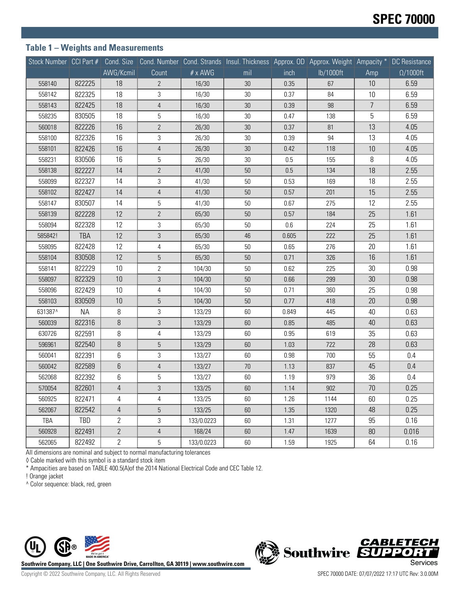## **Table 1 – Weights and Measurements**

| Stock Number   CCI Part # |            |                |                |            | Cond. Size Cond. Number Cond. Strands Insul. Thickness Approx. OD Approx. Weight Ampacity * DC Resistance |       |           |                |                  |
|---------------------------|------------|----------------|----------------|------------|-----------------------------------------------------------------------------------------------------------|-------|-----------|----------------|------------------|
|                           |            | AWG/Kcmil      | Count          | # x AWG    | mil                                                                                                       | inch  | lb/1000ft | Amp            | $\Omega/1000$ ft |
| 558140                    | 822225     | 18             | $\mathbf{2}$   | 16/30      | 30                                                                                                        | 0.35  | 67        | 10             | 6.59             |
| 558142                    | 822325     | 18             | 3              | 16/30      | 30                                                                                                        | 0.37  | 84        | 10             | 6.59             |
| 558143                    | 822425     | 18             | 4              | 16/30      | $30\,$                                                                                                    | 0.39  | 98        | $\overline{7}$ | 6.59             |
| 558235                    | 830505     | 18             | 5              | 16/30      | 30                                                                                                        | 0.47  | 138       | 5              | 6.59             |
| 560018                    | 822226     | 16             | $\mathbf{2}$   | 26/30      | 30                                                                                                        | 0.37  | 81        | 13             | 4.05             |
| 558100                    | 822326     | 16             | 3              | 26/30      | $30\,$                                                                                                    | 0.39  | 94        | 13             | 4.05             |
| 558101                    | 822426     | 16             | 4              | 26/30      | 30                                                                                                        | 0.42  | 118       | 10             | 4.05             |
| 558231                    | 830506     | 16             | 5              | 26/30      | 30                                                                                                        | 0.5   | 155       | 8              | 4.05             |
| 558138                    | 822227     | 14             | $\mathbf{2}$   | 41/30      | 50                                                                                                        | 0.5   | 134       | 18             | 2.55             |
| 558099                    | 822327     | 14             | 3              | 41/30      | 50                                                                                                        | 0.53  | 169       | 18             | 2.55             |
| 558102                    | 822427     | 14             | $\sqrt{4}$     | 41/30      | 50                                                                                                        | 0.57  | 201       | 15             | 2.55             |
| 558147                    | 830507     | 14             | 5              | 41/30      | 50                                                                                                        | 0.67  | 275       | 12             | 2.55             |
| 558139                    | 822228     | 12             | $\mathbf{2}$   | 65/30      | 50                                                                                                        | 0.57  | 184       | 25             | 1.61             |
| 558094                    | 822328     | 12             | 3              | 65/30      | 50                                                                                                        | 0.6   | 224       | 25             | 1.61             |
| 585842!                   | <b>TBA</b> | 12             | 3              | 65/30      | 46                                                                                                        | 0.605 | 222       | 25             | 1.61             |
| 558095                    | 822428     | 12             | 4              | 65/30      | 50                                                                                                        | 0.65  | 276       | 20             | 1.61             |
| 558104                    | 830508     | 12             | 5              | 65/30      | 50                                                                                                        | 0.71  | 326       | 16             | 1.61             |
| 558141                    | 822229     | 10             | $\overline{2}$ | 104/30     | 50                                                                                                        | 0.62  | 225       | 30             | 0.98             |
| 558097                    | 822329     | 10             | 3              | 104/30     | 50                                                                                                        | 0.66  | 299       | 30             | 0.98             |
| 558096                    | 822429     | 10             | 4              | 104/30     | 50                                                                                                        | 0.71  | 360       | 25             | 0.98             |
| 558103                    | 830509     | 10             | 5              | 104/30     | 50                                                                                                        | 0.77  | 418       | 20             | 0.98             |
| 631387^                   | <b>NA</b>  | 8              | 3              | 133/29     | 60                                                                                                        | 0.849 | 445       | 40             | 0.63             |
| 560039                    | 822316     | 8              | 3              | 133/29     | 60                                                                                                        | 0.85  | 485       | 40             | 0.63             |
| 630726                    | 822591     | 8              | 4              | 133/29     | 60                                                                                                        | 0.95  | 619       | 35             | 0.63             |
| 596961                    | 822540     | 8              | $\mathbf 5$    | 133/29     | 60                                                                                                        | 1.03  | 722       | 28             | 0.63             |
| 560041                    | 822391     | 6              | 3              | 133/27     | 60                                                                                                        | 0.98  | 700       | 55             | 0.4              |
| 560042                    | 822589     | $6\,$          | 4              | 133/27     | 70                                                                                                        | 1.13  | 837       | 45             | 0.4              |
| 562068                    | 822392     | 6              | 5              | 133/27     | 60                                                                                                        | 1.19  | 979       | 36             | 0.4              |
| 570054                    | 822601     | $\overline{4}$ | 3              | 133/25     | 60                                                                                                        | 1.14  | 902       | 70             | 0.25             |
| 560925                    | 822471     | 4              | 4              | 133/25     | 60                                                                                                        | 1.26  | 1144      | 60             | 0.25             |
| 562067                    | 822542     | $\overline{4}$ | 5              | 133/25     | 60                                                                                                        | 1.35  | 1320      | 48             | 0.25             |
| TBA                       | TBD        | $\overline{2}$ | 3              | 133/0.0223 | 60                                                                                                        | 1.31  | 1277      | 95             | 0.16             |
| 560928                    | 822491     | $\overline{2}$ | 4              | 168/24     | 60                                                                                                        | 1.47  | 1639      | 80             | 0.016            |
| 562065                    | 822492     | $\mathbf{2}$   | 5              | 133/0.0223 | 60                                                                                                        | 1.59  | 1925      | 64             | 0.16             |

All dimensions are nominal and subject to normal manufacturing tolerances

◊ Cable marked with this symbol is a standard stock item

\* Ampacities are based on TABLE 400.5(A)of the 2014 National Electrical Code and CEC Table 12.

! Orange jacket

^ Color sequence: black, red, green